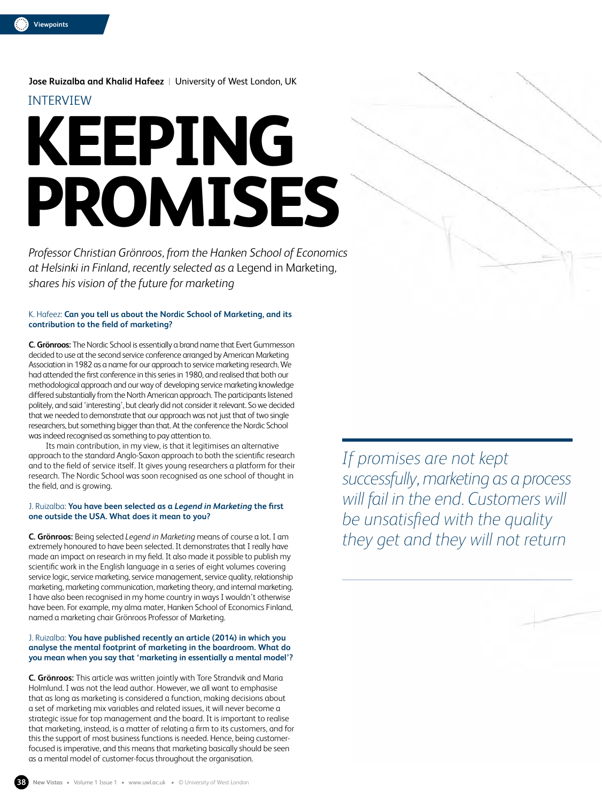**Jose Ruizalba and Khalid Hafeez** |University of West London, UK INTERVIEW

# **KEEPING PROMISES**

*Professor Christian Grönroos, from the Hanken School of Economics at Helsinki in Finland, recently selected as a* Legend in Marketing*, shares his vision of the future for marketing*

### K. Hafeez: **Can you tell us about the Nordic School of Marketing, and its contribution to the field of marketing?**

**C. Grönroos:** The Nordic School is essentially a brand name that Evert Gummesson decided to use at the second service conference arranged by American Marketing Association in 1982 as a name for our approach to service marketing research. We had attended the first conference in this series in 1980, and realised that both our methodological approach and our way of developing service marketing knowledge differed substantially from the North American approach. The participants listened politely, and said 'interesting', but clearly did not consider it relevant. So we decided that we needed to demonstrate that our approach was not just that of two single researchers, but something bigger than that. At the conference the Nordic School was indeed recognised as something to pay attention to.

Its main contribution, in my view, is that it legitimises an alternative approach to the standard Anglo-Saxon approach to both the scientific research and to the field of service itself. It gives young researchers a platform for their research. The Nordic School was soon recognised as one school of thought in the field, and is growing.

## J. Ruizalba: **You have been selected as a** *Legend in Marketing* **the first one outside the USA. What does it mean to you?**

**C. Grönroos:** Being selected *Legend in Marketing* means of course a lot. I am extremely honoured to have been selected. It demonstrates that I really have made an impact on research in my field. It also made it possible to publish my scientific work in the English language in a series of eight volumes covering service logic, service marketing, service management, service quality, relationship marketing, marketing communication, marketing theory, and internal marketing. I have also been recognised in my home country in ways I wouldn't otherwise have been. For example, my alma mater, Hanken School of Economics Finland, named a marketing chair Grönroos Professor of Marketing.

### J. Ruizalba: **You have published recently an article (2014) in which you analyse the mental footprint of marketing in the boardroom. What do you mean when you say that 'marketing in essentially a mental model'?**

**C. Grönroos:** This article was written jointly with Tore Strandvik and Maria Holmlund. I was not the lead author. However, we all want to emphasise that as long as marketing is considered a function, making decisions about a set of marketing mix variables and related issues, it will never become a strategic issue for top management and the board. It is important to realise that marketing, instead, is a matter of relating a firm to its customers, and for this the support of most business functions is needed. Hence, being customerfocused is imperative, and this means that marketing basically should be seen as a mental model of customer-focus throughout the organisation.

*If promises are not kept successfully, marketing as a process will fail in the end. Customers will be unsatisfied with the quality they get and they will not return*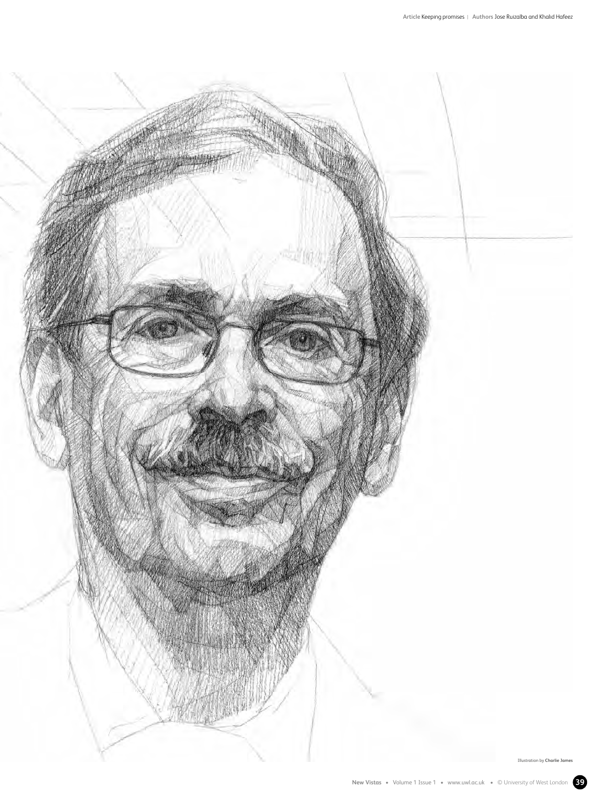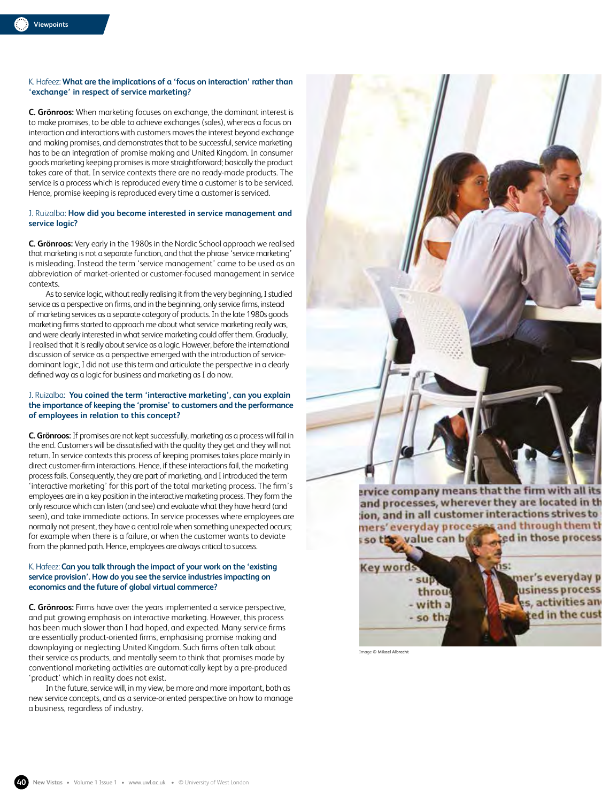### K. Hafeez: **What are the implications of a 'focus on interaction' rather than 'exchange' in respect of service marketing?**

**C. Grönroos:** When marketing focuses on exchange, the dominant interest is to make promises, to be able to achieve exchanges (sales), whereas a focus on interaction and interactions with customers moves the interest beyond exchange and making promises, and demonstrates that to be successful, service marketing has to be an integration of promise making and United Kingdom. In consumer goods marketing keeping promises is more straightforward; basically the product takes care of that. In service contexts there are no ready-made products. The service is a process which is reproduced every time a customer is to be serviced. Hence, promise keeping is reproduced every time a customer is serviced.

### J. Ruizalba: **How did you become interested in service management and service logic?**

**C. Grönroos:** Very early in the 1980s in the Nordic School approach we realised that marketing is not a separate function, and that the phrase 'service marketing' is misleading. Instead the term 'service management' came to be used as an abbreviation of market-oriented or customer-focused management in service contexts.

As to service logic, without really realising it from the very beginning, I studied service as a perspective on firms, and in the beginning, only service firms, instead of marketing services as a separate category of products. In the late 1980s goods marketing firms started to approach me about what service marketing really was, and were clearly interested in what service marketing could offer them. Gradually, I realised that it is really about service as a logic. However, before the international discussion of service as a perspective emerged with the introduction of servicedominant logic, I did not use this term and articulate the perspective in a clearly defined way as a logic for business and marketing as I do now.

### J. Ruizalba: **You coined the term 'interactive marketing', can you explain the importance of keeping the 'promise' to customers and the performance of employees in relation to this concept?**

**C. Grönroos:** If promises are not kept successfully, marketing as a process will fail in the end. Customers will be dissatisfied with the quality they get and they will not return. In service contexts this process of keeping promises takes place mainly in direct customer-firm interactions. Hence, if these interactions fail, the marketing process fails. Consequently, they are part of marketing, and I introduced the term 'interactive marketing' for this part of the total marketing process. The firm's employees are in a key position in the interactive marketing process. They form the only resource which can listen (and see) and evaluate what they have heard (and seen), and take immediate actions. In service processes where employees are normally not present, they have a central role when something unexpected occurs; for example when there is a failure, or when the customer wants to deviate from the planned path. Hence, employees are always critical to success.

### K. Hafeez: **Can you talk through the impact of your work on the 'existing service provision'. How do you see the service industries impacting on economics and the future of global virtual commerce?**

**C. Grönroos:** Firms have over the years implemented a service perspective, and put growing emphasis on interactive marketing. However, this process has been much slower than I had hoped, and expected. Many service firms are essentially product-oriented firms, emphasising promise making and downplaying or neglecting United Kingdom. Such firms often talk about their service as products, and mentally seem to think that promises made by conventional marketing activities are automatically kept by a pre-produced 'product' which in reality does not exist.

In the future, service will, in my view, be more and more important, both as new service concepts, and as a service-oriented perspective on how to manage a business, regardless of industry.



Image **© Mikael Albrecht**

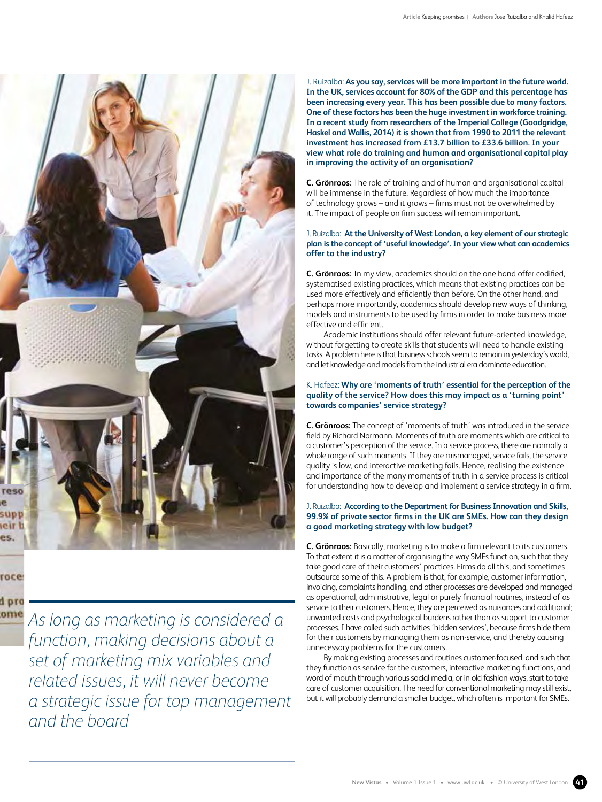

# roce

d pro ome

*As long as marketing is considered a function, making decisions about a set of marketing mix variables and related issues, it will never become a strategic issue for top management and the board*

J. Ruizalba: **As you say, services will be more important in the future world. In the UK, services account for 80% of the GDP and this percentage has been increasing every year. This has been possible due to many factors. One of these factors has been the huge investment in workforce training. In a recent study from researchers of the Imperial College (Goodgridge, Haskel and Wallis, 2014) it is shown that from 1990 to 2011 the relevant investment has increased from £13.7 billion to £33.6 billion. In your view what role do training and human and organisational capital play in improving the activity of an organisation?**

**C. Grönroos:** The role of training and of human and organisational capital will be immense in the future. Regardless of how much the importance of technology grows – and it grows – firms must not be overwhelmed by it. The impact of people on firm success will remain important.

### J. Ruizalba: **At the University of West London, a key element of our strategic plan is the concept of 'useful knowledge'. In your view what can academics offer to the industry?**

**C. Grönroos:** In my view, academics should on the one hand offer codified, systematised existing practices, which means that existing practices can be used more effectively and efficiently than before. On the other hand, and perhaps more importantly, academics should develop new ways of thinking, models and instruments to be used by firms in order to make business more effective and efficient.

Academic institutions should offer relevant future-oriented knowledge, without forgetting to create skills that students will need to handle existing tasks. A problem here is that business schools seem to remain in yesterday's world, and let knowledge and models from the industrial era dominate education.

### K. Hafeez: **Why are 'moments of truth' essential for the perception of the quality of the service? How does this may impact as a 'turning point' towards companies' service strategy?**

**C. Grönroos:** The concept of 'moments of truth' was introduced in the service field by Richard Normann. Moments of truth are moments which are critical to a customer's perception of the service. In a service process, there are normally a whole range of such moments. If they are mismanaged, service fails, the service quality is low, and interactive marketing fails. Hence, realising the existence and importance of the many moments of truth in a service process is critical for understanding how to develop and implement a service strategy in a firm.

### J. Ruizalba: **According to the Department for Business Innovation and Skills, 99.9% of private sector firms in the UK are SMEs. How can they design a good marketing strategy with low budget?**

**C. Grönroos:** Basically, marketing is to make a firm relevant to its customers. To that extent it is a matter of organising the way SMEs function, such that they take good care of their customers' practices. Firms do all this, and sometimes outsource some of this. A problem is that, for example, customer information, invoicing, complaints handling, and other processes are developed and managed as operational, administrative, legal or purely financial routines, instead of as service to their customers. Hence, they are perceived as nuisances and additional; unwanted costs and psychological burdens rather than as support to customer processes. I have called such activities 'hidden services', because firms hide them for their customers by managing them as non-service, and thereby causing unnecessary problems for the customers.

By making existing processes and routines customer-focused, and such that they function as service for the customers, interactive marketing functions, and word of mouth through various social media, or in old fashion ways, start to take care of customer acquisition. The need for conventional marketing may still exist, but it will probably demand a smaller budget, which often is important for SMEs.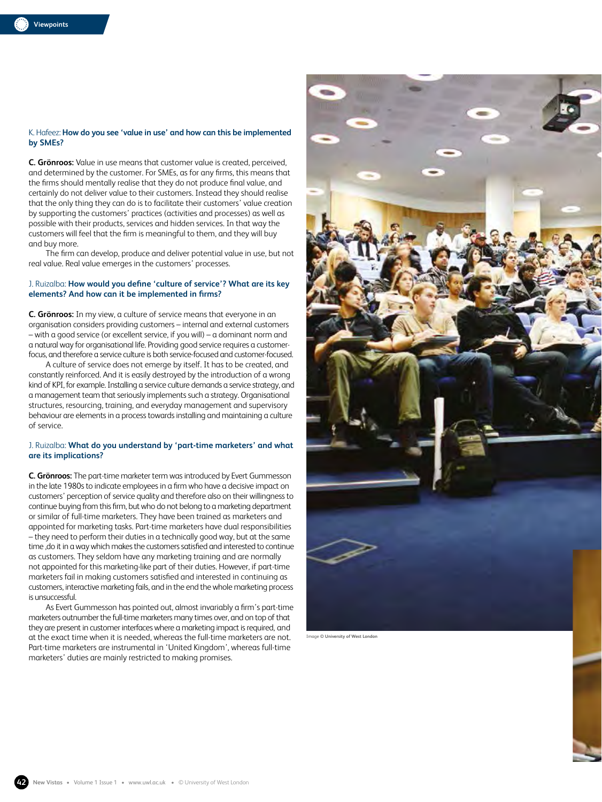### K. Hafeez: **How do you see 'value in use' and how can this be implemented by SMEs?**

**C. Grönroos:** Value in use means that customer value is created, perceived, and determined by the customer. For SMEs, as for any firms, this means that the firms should mentally realise that they do not produce final value, and certainly do not deliver value to their customers. Instead they should realise that the only thing they can do is to facilitate their customers' value creation by supporting the customers' practices (activities and processes) as well as possible with their products, services and hidden services. In that way the customers will feel that the firm is meaningful to them, and they will buy and buy more.

The firm can develop, produce and deliver potential value in use, but not real value. Real value emerges in the customers' processes.

### J. Ruizalba: **How would you define 'culture of service'? What are its key elements? And how can it be implemented in firms?**

**C. Grönroos:** In my view, a culture of service means that everyone in an organisation considers providing customers – internal and external customers – with a good service (or excellent service, if you will) – a dominant norm and a natural way for organisational life. Providing good service requires a customerfocus, and therefore a service culture is both service-focused and customer-focused.

A culture of service does not emerge by itself. It has to be created, and constantly reinforced. And it is easily destroyed by the introduction of a wrong kind of KPI, for example. Installing a service culture demands a service strategy, and a management team that seriously implements such a strategy. Organisational structures, resourcing, training, and everyday management and supervisory behaviour are elements in a process towards installing and maintaining a culture of service.

### J. Ruizalba: **What do you understand by 'part-time marketers' and what are its implications?**

**C. Grönroos:** The part-time marketer term was introduced by Evert Gummesson in the late 1980s to indicate employees in a firm who have a decisive impact on customers' perception of service quality and therefore also on their willingness to continue buying from this firm, but who do not belong to a marketing department or similar of full-time marketers. They have been trained as marketers and appointed for marketing tasks. Part-time marketers have dual responsibilities – they need to perform their duties in a technically good way, but at the same time ,do it in a way which makes the customers satisfied and interested to continue as customers. They seldom have any marketing training and are normally not appointed for this marketing-like part of their duties. However, if part-time marketers fail in making customers satisfied and interested in continuing as customers, interactive marketing fails, and in the end the whole marketing process is unsuccessful.

As Evert Gummesson has pointed out, almost invariably a firm's part-time marketers outnumber the full-time marketers many times over, and on top of that they are present in customer interfaces where a marketing impact is required, and at the exact time when it is needed, whereas the full-time marketers are not. Part-time marketers are instrumental in 'United Kingdom', whereas full-time marketers' duties are mainly restricted to making promises.



Image **© University of West London**